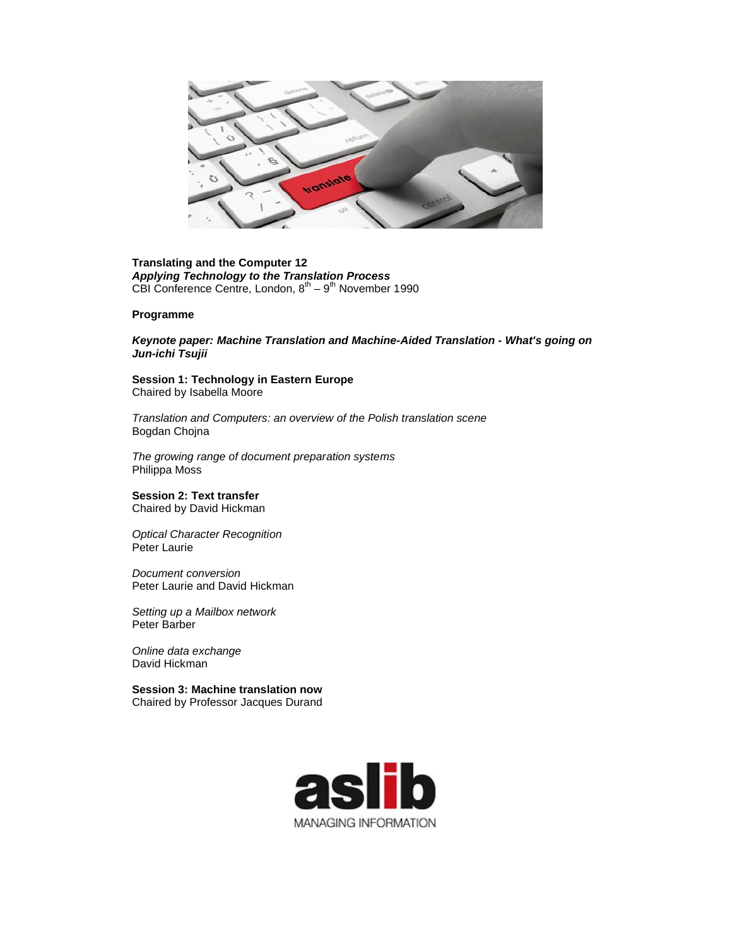

## **Translating and the Computer 12** *Applying Technology to the Translation Process* CBI Conference Centre, London,  $8^{th} - 9^{th}$  November 1990

## **Programme**

*Keynote paper: Machine Translation and Machine-Aided Translation - What's going on Jun-ichi Tsujii*

**Session 1: Technology in Eastern Europe** Chaired by Isabella Moore

*Translation and Computers: an overview of the Polish translation scene*  Bogdan Chojna

*The growing range of document preparation systems*  Philippa Moss

## **Session 2: Text transfer** Chaired by David Hickman

*Optical Character Recognition*  Peter Laurie

*Document conversion*  Peter Laurie and David Hickman

*Setting up a Mailbox network*  Peter Barber

*Online data exchange*  David Hickman

**Session 3: Machine translation now** Chaired by Professor Jacques Durand